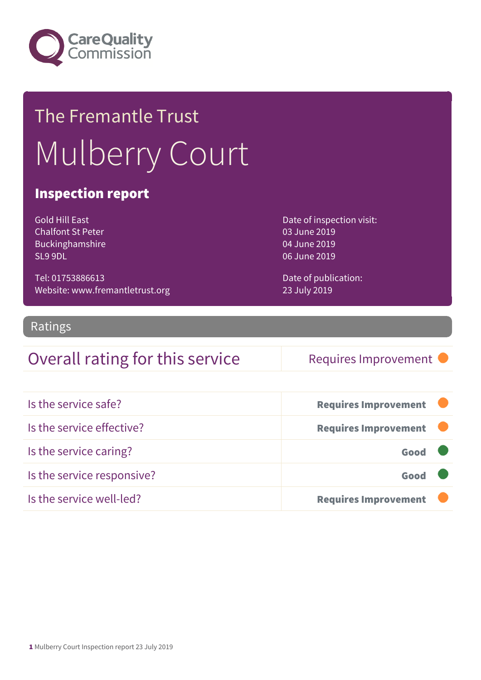

# The Fremantle Trust Mulberry Court

### Inspection report

Gold Hill East Chalfont St Peter Buckinghamshire SL9 9DL

Tel: 01753886613 Website: www.fremantletrust.org Date of inspection visit: 03 June 2019 04 June 2019 06 June 2019

Date of publication: 23 July 2019

### Ratings

### Overall rating for this service Requires Improvement

| Is the service safe?       | <b>Requires Improvement</b> |
|----------------------------|-----------------------------|
| Is the service effective?  | <b>Requires Improvement</b> |
| Is the service caring?     | Good                        |
| Is the service responsive? | Good                        |
| Is the service well-led?   | <b>Requires Improvement</b> |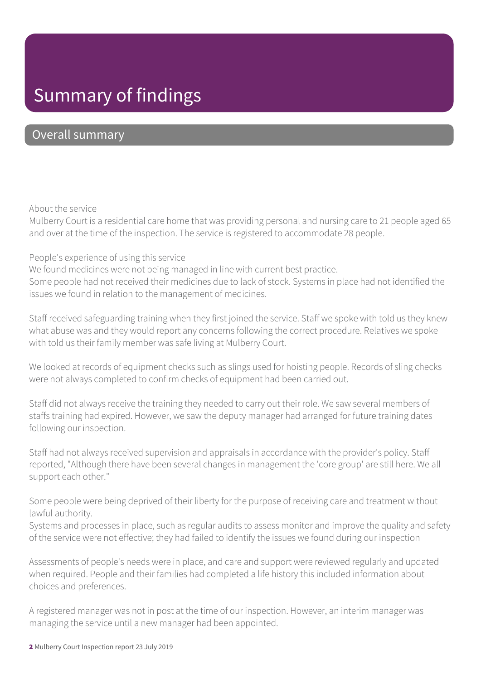### Summary of findings

### Overall summary

#### About the service

Mulberry Court is a residential care home that was providing personal and nursing care to 21 people aged 65 and over at the time of the inspection. The service is registered to accommodate 28 people.

#### People's experience of using this service

We found medicines were not being managed in line with current best practice.

Some people had not received their medicines due to lack of stock. Systems in place had not identified the issues we found in relation to the management of medicines.

Staff received safeguarding training when they first joined the service. Staff we spoke with told us they knew what abuse was and they would report any concerns following the correct procedure. Relatives we spoke with told us their family member was safe living at Mulberry Court.

We looked at records of equipment checks such as slings used for hoisting people. Records of sling checks were not always completed to confirm checks of equipment had been carried out.

Staff did not always receive the training they needed to carry out their role. We saw several members of staffs training had expired. However, we saw the deputy manager had arranged for future training dates following our inspection.

Staff had not always received supervision and appraisals in accordance with the provider's policy. Staff reported, "Although there have been several changes in management the 'core group' are still here. We all support each other."

Some people were being deprived of their liberty for the purpose of receiving care and treatment without lawful authority.

Systems and processes in place, such as regular audits to assess monitor and improve the quality and safety of the service were not effective; they had failed to identify the issues we found during our inspection

Assessments of people's needs were in place, and care and support were reviewed regularly and updated when required. People and their families had completed a life history this included information about choices and preferences.

A registered manager was not in post at the time of our inspection. However, an interim manager was managing the service until a new manager had been appointed.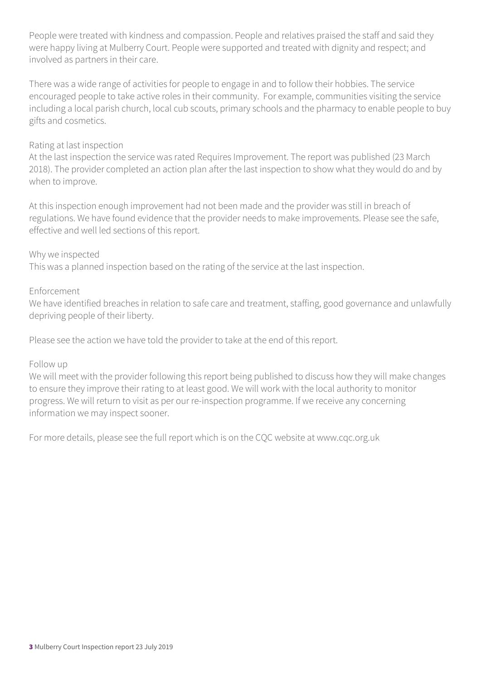People were treated with kindness and compassion. People and relatives praised the staff and said they were happy living at Mulberry Court. People were supported and treated with dignity and respect; and involved as partners in their care.

There was a wide range of activities for people to engage in and to follow their hobbies. The service encouraged people to take active roles in their community. For example, communities visiting the service including a local parish church, local cub scouts, primary schools and the pharmacy to enable people to buy gifts and cosmetics.

#### Rating at last inspection

At the last inspection the service was rated Requires Improvement. The report was published (23 March 2018). The provider completed an action plan after the last inspection to show what they would do and by when to improve.

At this inspection enough improvement had not been made and the provider was still in breach of regulations. We have found evidence that the provider needs to make improvements. Please see the safe, effective and well led sections of this report.

#### Why we inspected

This was a planned inspection based on the rating of the service at the last inspection.

#### Enforcement

We have identified breaches in relation to safe care and treatment, staffing, good governance and unlawfully depriving people of their liberty.

Please see the action we have told the provider to take at the end of this report.

#### Follow up

We will meet with the provider following this report being published to discuss how they will make changes to ensure they improve their rating to at least good. We will work with the local authority to monitor progress. We will return to visit as per our re-inspection programme. If we receive any concerning information we may inspect sooner.

For more details, please see the full report which is on the CQC website at www.cqc.org.uk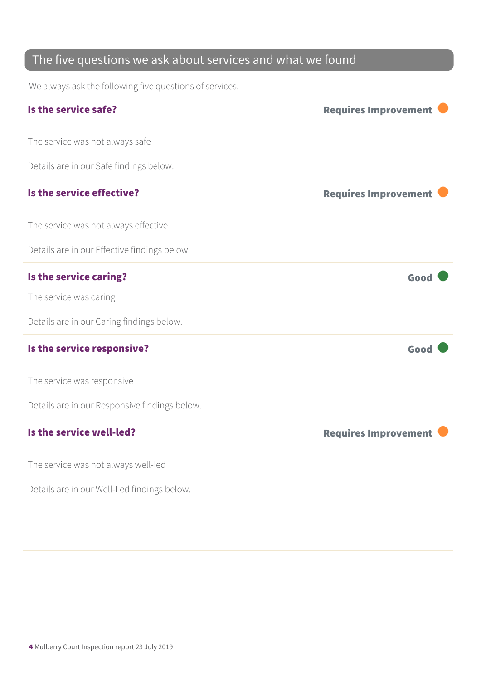### The five questions we ask about services and what we found

We always ask the following five questions of services.

| Is the service safe?                          | <b>Requires Improvement</b> |
|-----------------------------------------------|-----------------------------|
| The service was not always safe               |                             |
| Details are in our Safe findings below.       |                             |
| Is the service effective?                     | <b>Requires Improvement</b> |
| The service was not always effective          |                             |
| Details are in our Effective findings below.  |                             |
| Is the service caring?                        | Good                        |
| The service was caring                        |                             |
| Details are in our Caring findings below.     |                             |
| Is the service responsive?                    | Good                        |
| The service was responsive                    |                             |
| Details are in our Responsive findings below. |                             |
| Is the service well-led?                      | <b>Requires Improvement</b> |
| The service was not always well-led           |                             |
| Details are in our Well-Led findings below.   |                             |
|                                               |                             |
|                                               |                             |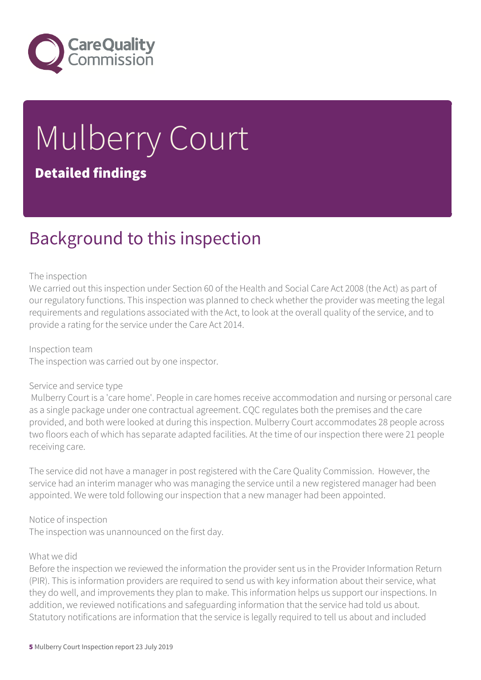

# Mulberry Court Detailed findings

### Background to this inspection

#### The inspection

We carried out this inspection under Section 60 of the Health and Social Care Act 2008 (the Act) as part of our regulatory functions. This inspection was planned to check whether the provider was meeting the legal requirements and regulations associated with the Act, to look at the overall quality of the service, and to provide a rating for the service under the Care Act 2014.

Inspection team The inspection was carried out by one inspector.

#### Service and service type

 Mulberry Court is a 'care home'. People in care homes receive accommodation and nursing or personal care as a single package under one contractual agreement. CQC regulates both the premises and the care provided, and both were looked at during this inspection. Mulberry Court accommodates 28 people across two floors each of which has separate adapted facilities. At the time of our inspection there were 21 people receiving care.

The service did not have a manager in post registered with the Care Quality Commission. However, the service had an interim manager who was managing the service until a new registered manager had been appointed. We were told following our inspection that a new manager had been appointed.

#### Notice of inspection

The inspection was unannounced on the first day.

#### What we did

Before the inspection we reviewed the information the provider sent us in the Provider Information Return (PIR). This is information providers are required to send us with key information about their service, what they do well, and improvements they plan to make. This information helps us support our inspections. In addition, we reviewed notifications and safeguarding information that the service had told us about. Statutory notifications are information that the service is legally required to tell us about and included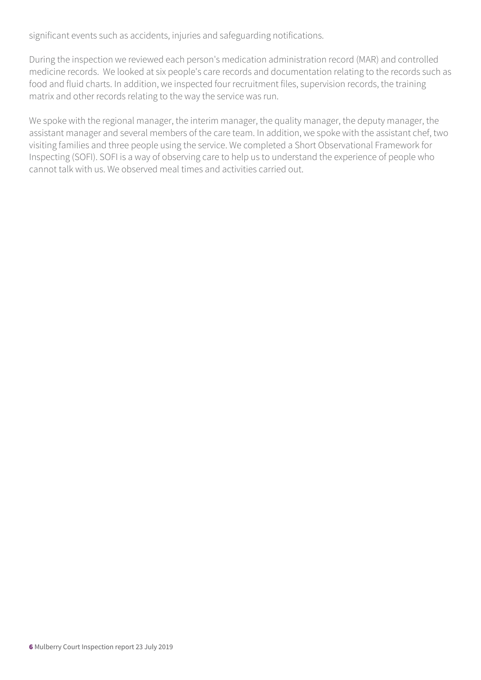significant events such as accidents, injuries and safeguarding notifications.

During the inspection we reviewed each person's medication administration record (MAR) and controlled medicine records. We looked at six people's care records and documentation relating to the records such as food and fluid charts. In addition, we inspected four recruitment files, supervision records, the training matrix and other records relating to the way the service was run.

We spoke with the regional manager, the interim manager, the quality manager, the deputy manager, the assistant manager and several members of the care team. In addition, we spoke with the assistant chef, two visiting families and three people using the service. We completed a Short Observational Framework for Inspecting (SOFI). SOFI is a way of observing care to help us to understand the experience of people who cannot talk with us. We observed meal times and activities carried out.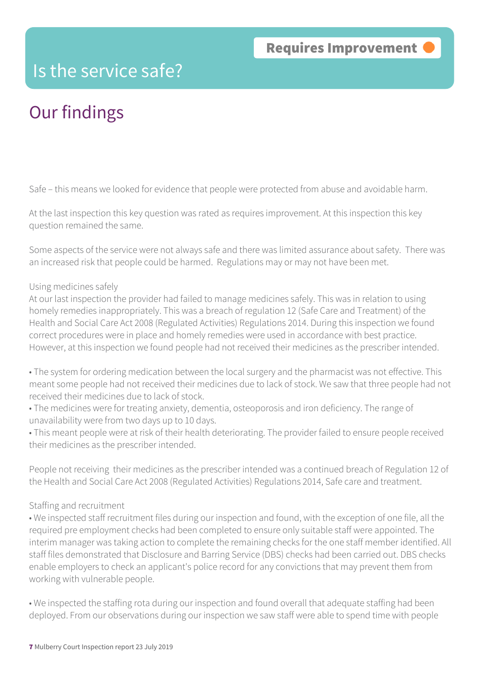### Is the service safe?

### Our findings

Safe – this means we looked for evidence that people were protected from abuse and avoidable harm.

At the last inspection this key question was rated as requires improvement. At this inspection this key question remained the same.

Some aspects of the service were not always safe and there was limited assurance about safety. There was an increased risk that people could be harmed. Regulations may or may not have been met.

#### Using medicines safely

At our last inspection the provider had failed to manage medicines safely. This was in relation to using homely remedies inappropriately. This was a breach of regulation 12 (Safe Care and Treatment) of the Health and Social Care Act 2008 (Regulated Activities) Regulations 2014. During this inspection we found correct procedures were in place and homely remedies were used in accordance with best practice. However, at this inspection we found people had not received their medicines as the prescriber intended.

• The system for ordering medication between the local surgery and the pharmacist was not effective. This meant some people had not received their medicines due to lack of stock. We saw that three people had not received their medicines due to lack of stock.

• The medicines were for treating anxiety, dementia, osteoporosis and iron deficiency. The range of unavailability were from two days up to 10 days.

• This meant people were at risk of their health deteriorating. The provider failed to ensure people received their medicines as the prescriber intended.

People not receiving their medicines as the prescriber intended was a continued breach of Regulation 12 of the Health and Social Care Act 2008 (Regulated Activities) Regulations 2014, Safe care and treatment.

#### Staffing and recruitment

• We inspected staff recruitment files during our inspection and found, with the exception of one file, all the required pre employment checks had been completed to ensure only suitable staff were appointed. The interim manager was taking action to complete the remaining checks for the one staff member identified. All staff files demonstrated that Disclosure and Barring Service (DBS) checks had been carried out. DBS checks enable employers to check an applicant's police record for any convictions that may prevent them from working with vulnerable people.

• We inspected the staffing rota during our inspection and found overall that adequate staffing had been deployed. From our observations during our inspection we saw staff were able to spend time with people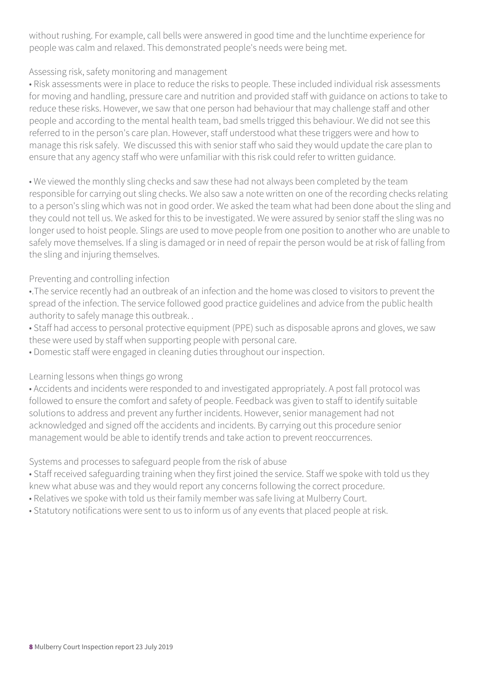without rushing. For example, call bells were answered in good time and the lunchtime experience for people was calm and relaxed. This demonstrated people's needs were being met.

#### Assessing risk, safety monitoring and management

• Risk assessments were in place to reduce the risks to people. These included individual risk assessments for moving and handling, pressure care and nutrition and provided staff with guidance on actions to take to reduce these risks. However, we saw that one person had behaviour that may challenge staff and other people and according to the mental health team, bad smells trigged this behaviour. We did not see this referred to in the person's care plan. However, staff understood what these triggers were and how to manage this risk safely. We discussed this with senior staff who said they would update the care plan to ensure that any agency staff who were unfamiliar with this risk could refer to written guidance.

• We viewed the monthly sling checks and saw these had not always been completed by the team responsible for carrying out sling checks. We also saw a note written on one of the recording checks relating to a person's sling which was not in good order. We asked the team what had been done about the sling and they could not tell us. We asked for this to be investigated. We were assured by senior staff the sling was no longer used to hoist people. Slings are used to move people from one position to another who are unable to safely move themselves. If a sling is damaged or in need of repair the person would be at risk of falling from the sling and injuring themselves.

### Preventing and controlling infection

•.The service recently had an outbreak of an infection and the home was closed to visitors to prevent the spread of the infection. The service followed good practice guidelines and advice from the public health authority to safely manage this outbreak. .

• Staff had access to personal protective equipment (PPE) such as disposable aprons and gloves, we saw these were used by staff when supporting people with personal care.

• Domestic staff were engaged in cleaning duties throughout our inspection.

### Learning lessons when things go wrong

• Accidents and incidents were responded to and investigated appropriately. A post fall protocol was followed to ensure the comfort and safety of people. Feedback was given to staff to identify suitable solutions to address and prevent any further incidents. However, senior management had not acknowledged and signed off the accidents and incidents. By carrying out this procedure senior management would be able to identify trends and take action to prevent reoccurrences.

Systems and processes to safeguard people from the risk of abuse

• Staff received safeguarding training when they first joined the service. Staff we spoke with told us they knew what abuse was and they would report any concerns following the correct procedure.

- Relatives we spoke with told us their family member was safe living at Mulberry Court.
- Statutory notifications were sent to us to inform us of any events that placed people at risk.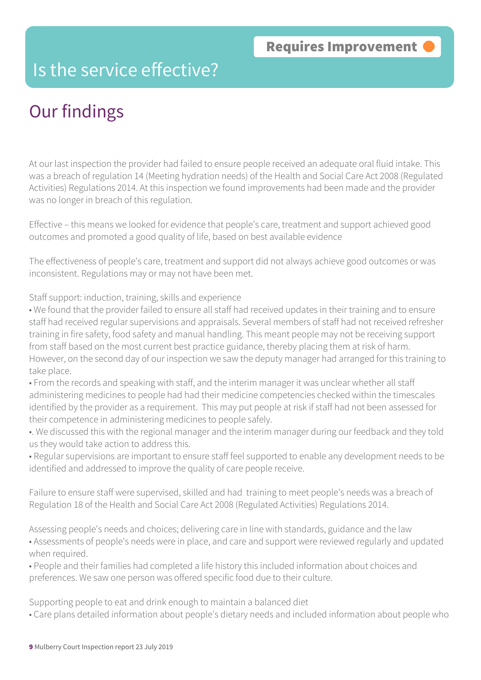### Is the service effective?

# Our findings

At our last inspection the provider had failed to ensure people received an adequate oral fluid intake. This was a breach of regulation 14 (Meeting hydration needs) of the Health and Social Care Act 2008 (Regulated Activities) Regulations 2014. At this inspection we found improvements had been made and the provider was no longer in breach of this regulation.

Effective – this means we looked for evidence that people's care, treatment and support achieved good outcomes and promoted a good quality of life, based on best available evidence

The effectiveness of people's care, treatment and support did not always achieve good outcomes or was inconsistent. Regulations may or may not have been met.

Staff support: induction, training, skills and experience

• We found that the provider failed to ensure all staff had received updates in their training and to ensure staff had received regular supervisions and appraisals. Several members of staff had not received refresher training in fire safety, food safety and manual handling. This meant people may not be receiving support from staff based on the most current best practice guidance, thereby placing them at risk of harm. However, on the second day of our inspection we saw the deputy manager had arranged for this training to take place.

• From the records and speaking with staff, and the interim manager it was unclear whether all staff administering medicines to people had had their medicine competencies checked within the timescales identified by the provider as a requirement. This may put people at risk if staff had not been assessed for their competence in administering medicines to people safely.

- •. We discussed this with the regional manager and the interim manager during our feedback and they told us they would take action to address this.
- Regular supervisions are important to ensure staff feel supported to enable any development needs to be identified and addressed to improve the quality of care people receive.

Failure to ensure staff were supervised, skilled and had training to meet people's needs was a breach of Regulation 18 of the Health and Social Care Act 2008 (Regulated Activities) Regulations 2014.

Assessing people's needs and choices; delivering care in line with standards, guidance and the law

• Assessments of people's needs were in place, and care and support were reviewed regularly and updated when required.

• People and their families had completed a life history this included information about choices and preferences. We saw one person was offered specific food due to their culture.

Supporting people to eat and drink enough to maintain a balanced diet

• Care plans detailed information about people's dietary needs and included information about people who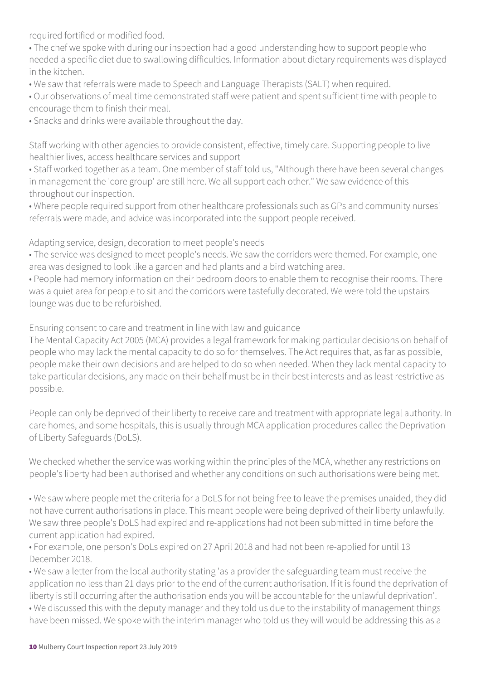required fortified or modified food.

• The chef we spoke with during our inspection had a good understanding how to support people who needed a specific diet due to swallowing difficulties. Information about dietary requirements was displayed in the kitchen.

• We saw that referrals were made to Speech and Language Therapists (SALT) when required.

• Our observations of meal time demonstrated staff were patient and spent sufficient time with people to encourage them to finish their meal.

• Snacks and drinks were available throughout the day.

Staff working with other agencies to provide consistent, effective, timely care. Supporting people to live healthier lives, access healthcare services and support

• Staff worked together as a team. One member of staff told us, "Although there have been several changes in management the 'core group' are still here. We all support each other." We saw evidence of this throughout our inspection.

• Where people required support from other healthcare professionals such as GPs and community nurses' referrals were made, and advice was incorporated into the support people received.

Adapting service, design, decoration to meet people's needs

• The service was designed to meet people's needs. We saw the corridors were themed. For example, one area was designed to look like a garden and had plants and a bird watching area.

• People had memory information on their bedroom doors to enable them to recognise their rooms. There was a quiet area for people to sit and the corridors were tastefully decorated. We were told the upstairs lounge was due to be refurbished.

Ensuring consent to care and treatment in line with law and guidance

The Mental Capacity Act 2005 (MCA) provides a legal framework for making particular decisions on behalf of people who may lack the mental capacity to do so for themselves. The Act requires that, as far as possible, people make their own decisions and are helped to do so when needed. When they lack mental capacity to take particular decisions, any made on their behalf must be in their best interests and as least restrictive as possible.

People can only be deprived of their liberty to receive care and treatment with appropriate legal authority. In care homes, and some hospitals, this is usually through MCA application procedures called the Deprivation of Liberty Safeguards (DoLS).

We checked whether the service was working within the principles of the MCA, whether any restrictions on people's liberty had been authorised and whether any conditions on such authorisations were being met.

• We saw where people met the criteria for a DoLS for not being free to leave the premises unaided, they did not have current authorisations in place. This meant people were being deprived of their liberty unlawfully. We saw three people's DoLS had expired and re-applications had not been submitted in time before the current application had expired.

• For example, one person's DoLs expired on 27 April 2018 and had not been re-applied for until 13 December 2018.

• We saw a letter from the local authority stating 'as a provider the safeguarding team must receive the application no less than 21 days prior to the end of the current authorisation. If it is found the deprivation of liberty is still occurring after the authorisation ends you will be accountable for the unlawful deprivation'.

• We discussed this with the deputy manager and they told us due to the instability of management things have been missed. We spoke with the interim manager who told us they will would be addressing this as a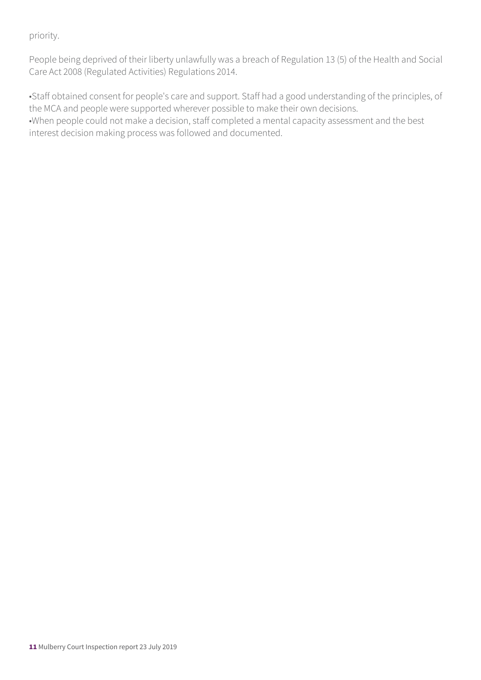priority.

People being deprived of their liberty unlawfully was a breach of Regulation 13 (5) of the Health and Social Care Act 2008 (Regulated Activities) Regulations 2014.

•Staff obtained consent for people's care and support. Staff had a good understanding of the principles, of the MCA and people were supported wherever possible to make their own decisions.

•When people could not make a decision, staff completed a mental capacity assessment and the best interest decision making process was followed and documented.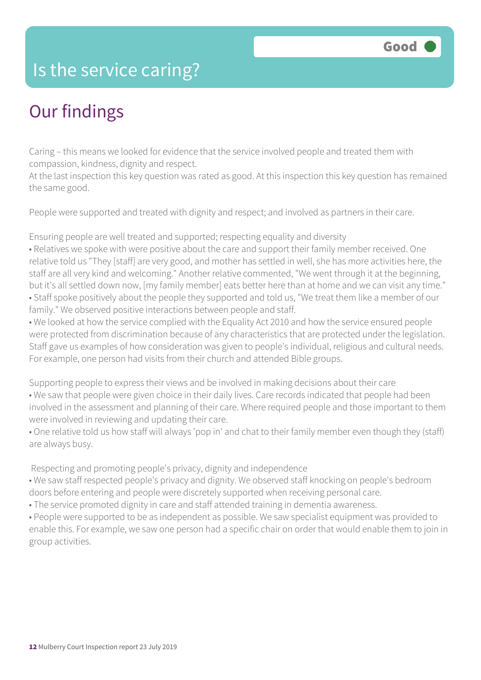### Is the service caring?

### Our findings

Caring – this means we looked for evidence that the service involved people and treated them with compassion, kindness, dignity and respect.

At the last inspection this key question was rated as good. At this inspection this key question has remained the same good.

People were supported and treated with dignity and respect; and involved as partners in their care.

Ensuring people are well treated and supported; respecting equality and diversity

• Relatives we spoke with were positive about the care and support their family member received. One relative told us "They [staff] are very good, and mother has settled in well, she has more activities here, the staff are all very kind and welcoming." Another relative commented, "We went through it at the beginning, but it's all settled down now, [my family member] eats better here than at home and we can visit any time." • Staff spoke positively about the people they supported and told us, "We treat them like a member of our family." We observed positive interactions between people and staff.

• We looked at how the service complied with the Equality Act 2010 and how the service ensured people were protected from discrimination because of any characteristics that are protected under the legislation. Staff gave us examples of how consideration was given to people's individual, religious and cultural needs. For example, one person had visits from their church and attended Bible groups.

Supporting people to express their views and be involved in making decisions about their care • We saw that people were given choice in their daily lives. Care records indicated that people had been involved in the assessment and planning of their care. Where required people and those important to them were involved in reviewing and updating their care.

• One relative told us how staff will always 'pop in' and chat to their family member even though they (staff) are always busy.

Respecting and promoting people's privacy, dignity and independence

• We saw staff respected people's privacy and dignity. We observed staff knocking on people's bedroom doors before entering and people were discretely supported when receiving personal care.

• The service promoted dignity in care and staff attended training in dementia awareness.

• People were supported to be as independent as possible. We saw specialist equipment was provided to enable this. For example, we saw one person had a specific chair on order that would enable them to join in group activities.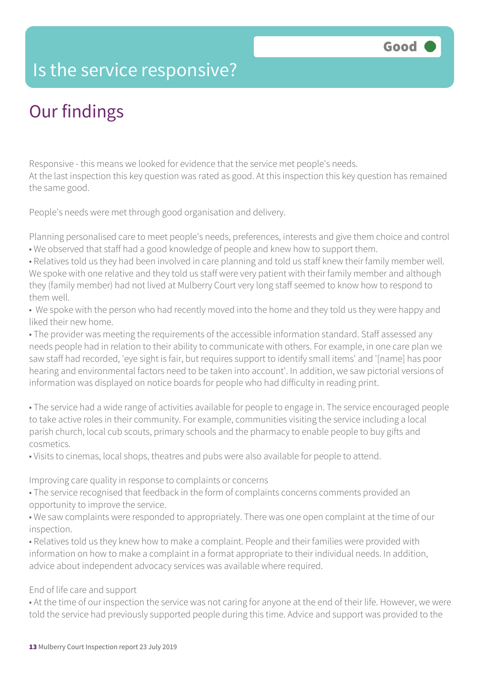### Is the service responsive?

# Our findings

Responsive - this means we looked for evidence that the service met people's needs. At the last inspection this key question was rated as good. At this inspection this key question has remained the same good.

People's needs were met through good organisation and delivery.

Planning personalised care to meet people's needs, preferences, interests and give them choice and control • We observed that staff had a good knowledge of people and knew how to support them.

• Relatives told us they had been involved in care planning and told us staff knew their family member well. We spoke with one relative and they told us staff were very patient with their family member and although they (family member) had not lived at Mulberry Court very long staff seemed to know how to respond to them well.

• We spoke with the person who had recently moved into the home and they told us they were happy and liked their new home.

• The provider was meeting the requirements of the accessible information standard. Staff assessed any needs people had in relation to their ability to communicate with others. For example, in one care plan we saw staff had recorded, 'eye sight is fair, but requires support to identify small items' and '[name] has poor hearing and environmental factors need to be taken into account'. In addition, we saw pictorial versions of information was displayed on notice boards for people who had difficulty in reading print.

• The service had a wide range of activities available for people to engage in. The service encouraged people to take active roles in their community. For example, communities visiting the service including a local parish church, local cub scouts, primary schools and the pharmacy to enable people to buy gifts and cosmetics.

• Visits to cinemas, local shops, theatres and pubs were also available for people to attend.

Improving care quality in response to complaints or concerns

• The service recognised that feedback in the form of complaints concerns comments provided an opportunity to improve the service.

• We saw complaints were responded to appropriately. There was one open complaint at the time of our inspection.

• Relatives told us they knew how to make a complaint. People and their families were provided with information on how to make a complaint in a format appropriate to their individual needs. In addition, advice about independent advocacy services was available where required.

#### End of life care and support

• At the time of our inspection the service was not caring for anyone at the end of their life. However, we were told the service had previously supported people during this time. Advice and support was provided to the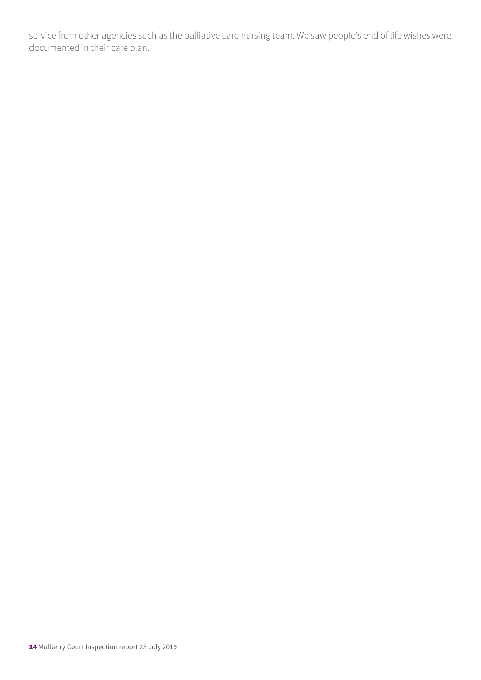service from other agencies such as the palliative care nursing team. We saw people's end of life wishes were documented in their care plan.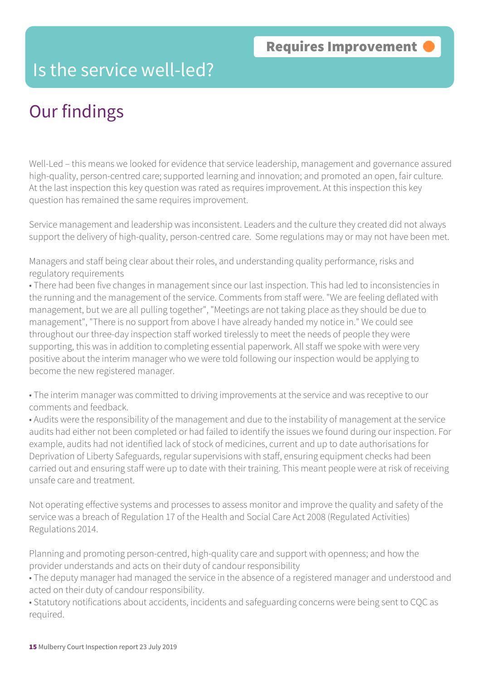### Is the service well-led?

# Our findings

Well-Led – this means we looked for evidence that service leadership, management and governance assured high-quality, person-centred care; supported learning and innovation; and promoted an open, fair culture. At the last inspection this key question was rated as requires improvement. At this inspection this key question has remained the same requires improvement.

Service management and leadership was inconsistent. Leaders and the culture they created did not always support the delivery of high-quality, person-centred care. Some regulations may or may not have been met.

Managers and staff being clear about their roles, and understanding quality performance, risks and regulatory requirements

• There had been five changes in management since our last inspection. This had led to inconsistencies in the running and the management of the service. Comments from staff were. "We are feeling deflated with management, but we are all pulling together", "Meetings are not taking place as they should be due to management", "There is no support from above I have already handed my notice in." We could see throughout our three-day inspection staff worked tirelessly to meet the needs of people they were supporting, this was in addition to completing essential paperwork. All staff we spoke with were very positive about the interim manager who we were told following our inspection would be applying to become the new registered manager.

• The interim manager was committed to driving improvements at the service and was receptive to our comments and feedback.

• Audits were the responsibility of the management and due to the instability of management at the service audits had either not been completed or had failed to identify the issues we found during our inspection. For example, audits had not identified lack of stock of medicines, current and up to date authorisations for Deprivation of Liberty Safeguards, regular supervisions with staff, ensuring equipment checks had been carried out and ensuring staff were up to date with their training. This meant people were at risk of receiving unsafe care and treatment.

Not operating effective systems and processes to assess monitor and improve the quality and safety of the service was a breach of Regulation 17 of the Health and Social Care Act 2008 (Regulated Activities) Regulations 2014.

Planning and promoting person-centred, high-quality care and support with openness; and how the provider understands and acts on their duty of candour responsibility

• The deputy manager had managed the service in the absence of a registered manager and understood and acted on their duty of candour responsibility.

• Statutory notifications about accidents, incidents and safeguarding concerns were being sent to CQC as required.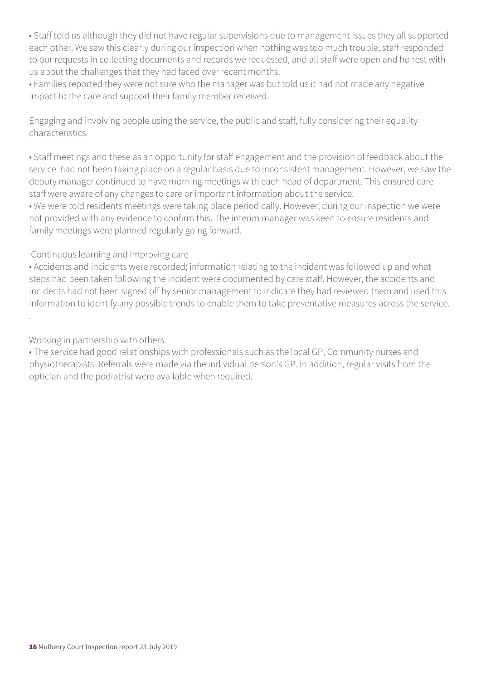• Staff told us although they did not have regular supervisions due to management issues they all supported each other. We saw this clearly during our inspection when nothing was too much trouble, staff responded to our requests in collecting documents and records we requested, and all staff were open and honest with us about the challenges that they had faced over recent months.

• Families reported they were not sure who the manager was but told us it had not made any negative impact to the care and support their family member received.

Engaging and involving people using the service, the public and staff, fully considering their equality characteristics

• Staff meetings and these as an opportunity for staff engagement and the provision of feedback about the service had not been taking place on a regular basis due to inconsistent management. However, we saw the deputy manager continued to have morning meetings with each head of department. This ensured care staff were aware of any changes to care or important information about the service.

• We were told residents meetings were taking place periodically. However, during our inspection we were not provided with any evidence to confirm this. The interim manager was keen to ensure residents and family meetings were planned regularly going forward.

#### Continuous learning and improving care

• Accidents and incidents were recorded; information relating to the incident was followed up and what steps had been taken following the incident were documented by care staff. However, the accidents and incidents had not been signed off by senior management to indicate they had reviewed them and used this information to identify any possible trends to enable them to take preventative measures across the service. .

Working in partnership with others

• The service had good relationships with professionals such as the local GP, Community nurses and physiotherapists. Referrals were made via the individual person's GP. In addition, regular visits from the optician and the podiatrist were available when required.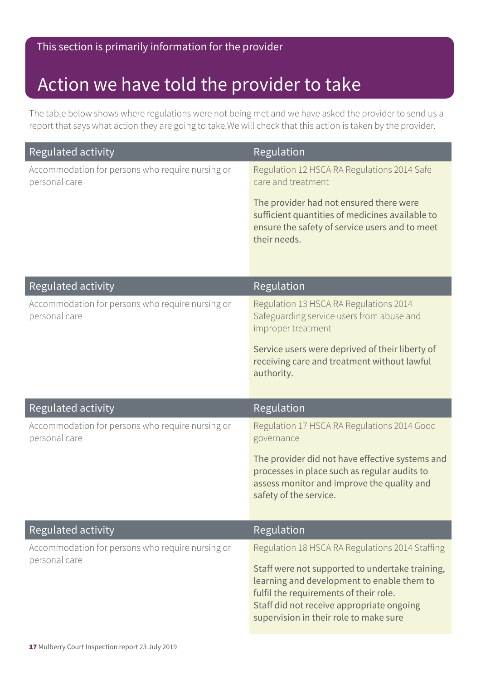### Action we have told the provider to take

The table below shows where regulations were not being met and we have asked the provider to send us a report that says what action they are going to take.We will check that this action is taken by the provider.

| Regulated activity                                                | Regulation                                                                                                                                                                                                                     |
|-------------------------------------------------------------------|--------------------------------------------------------------------------------------------------------------------------------------------------------------------------------------------------------------------------------|
| Accommodation for persons who require nursing or<br>personal care | Regulation 12 HSCA RA Regulations 2014 Safe<br>care and treatment                                                                                                                                                              |
|                                                                   | The provider had not ensured there were<br>sufficient quantities of medicines available to<br>ensure the safety of service users and to meet<br>their needs.                                                                   |
| Regulated activity                                                | Regulation                                                                                                                                                                                                                     |
| Accommodation for persons who require nursing or<br>personal care | Regulation 13 HSCA RA Regulations 2014<br>Safeguarding service users from abuse and<br>improper treatment                                                                                                                      |
|                                                                   | Service users were deprived of their liberty of<br>receiving care and treatment without lawful<br>authority.                                                                                                                   |
| Regulated activity                                                | Regulation                                                                                                                                                                                                                     |
| Accommodation for persons who require nursing or<br>personal care | Regulation 17 HSCA RA Regulations 2014 Good                                                                                                                                                                                    |
|                                                                   | governance                                                                                                                                                                                                                     |
|                                                                   | The provider did not have effective systems and<br>processes in place such as regular audits to<br>assess monitor and improve the quality and<br>safety of the service.                                                        |
| Regulated activity                                                | <b>Regulation</b>                                                                                                                                                                                                              |
| Accommodation for persons who require nursing or<br>personal care | Regulation 18 HSCA RA Regulations 2014 Staffing                                                                                                                                                                                |
|                                                                   | Staff were not supported to undertake training,<br>learning and development to enable them to<br>fulfil the requirements of their role.<br>Staff did not receive appropriate ongoing<br>supervision in their role to make sure |